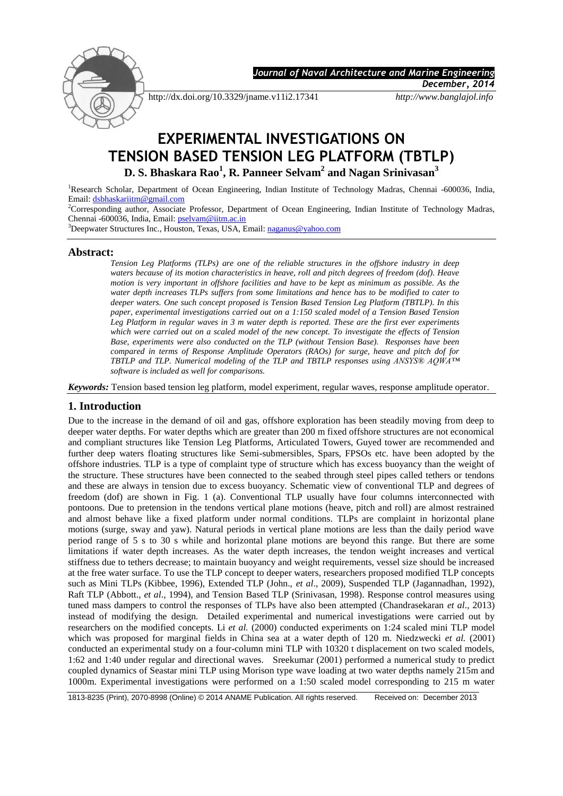

 *Journal of Naval Architecture and Marine Engineering* 

*December, 2014*

http://dx.doi.org/10.3329/jname.v11i2.17341 *http://www.banglajol.info*

# **EXPERIMENTAL INVESTIGATIONS ON TENSION BASED TENSION LEG PLATFORM (TBTLP) D. S. Bhaskara Rao<sup>1</sup> , R. Panneer Selvam<sup>2</sup> and Nagan Srinivasan<sup>3</sup>**

<sup>1</sup>Research Scholar, Department of Ocean Engineering, Indian Institute of Technology Madras, Chennai -600036, India, Email: [dsbhaskariitm@gmail.com](mailto:dsbhaskariitm@gmail.com)

<sup>2</sup>Corresponding author, Associate Professor, Department of Ocean Engineering, Indian Institute of Technology Madras, Chennai -600036, India, Email: [pselvam@iitm.ac.in](mailto:pselvam@iitm.ac.in)

<sup>3</sup>Deepwater Structures Inc., Houston, Texas, USA, Email: [naganus@yahoo.com](mailto:naganus@yahoo.com)

## **Abstract:**

*Tension Leg Platforms (TLPs) are one of the reliable structures in the offshore industry in deep waters because of its motion characteristics in heave, roll and pitch degrees of freedom (dof). Heave motion is very important in offshore facilities and have to be kept as minimum as possible. As the water depth increases TLPs suffers from some limitations and hence has to be modified to cater to deeper waters. One such concept proposed is Tension Based Tension Leg Platform (TBTLP). In this paper, experimental investigations carried out on a 1:150 scaled model of a Tension Based Tension Leg Platform in regular waves in 3 m water depth is reported. These are the first ever experiments which were carried out on a scaled model of the new concept. To investigate the effects of Tension Base, experiments were also conducted on the TLP (without Tension Base). Responses have been compared in terms of Response Amplitude Operators (RAOs) for surge, heave and pitch dof for TBTLP and TLP. Numerical modeling of the TLP and TBTLP responses using ANSYS® AQWA™ software is included as well for comparisons.*

*Keywords:* Tension based tension leg platform, model experiment, regular waves, response amplitude operator.

## **1. Introduction**

Due to the increase in the demand of oil and gas, offshore exploration has been steadily moving from deep to deeper water depths. For water depths which are greater than 200 m fixed offshore structures are not economical and compliant structures like Tension Leg Platforms, Articulated Towers, Guyed tower are recommended and further deep waters floating structures like Semi-submersibles, Spars, FPSOs etc. have been adopted by the offshore industries. TLP is a type of complaint type of structure which has excess buoyancy than the weight of the structure. These structures have been connected to the seabed through steel pipes called tethers or tendons and these are always in tension due to excess buoyancy. Schematic view of conventional TLP and degrees of freedom (dof) are shown in Fig. 1 (a). Conventional TLP usually have four columns interconnected with pontoons. Due to pretension in the tendons vertical plane motions (heave, pitch and roll) are almost restrained and almost behave like a fixed platform under normal conditions. TLPs are complaint in horizontal plane motions (surge, sway and yaw). Natural periods in vertical plane motions are less than the daily period wave period range of 5 s to 30 s while and horizontal plane motions are beyond this range. But there are some limitations if water depth increases. As the water depth increases, the tendon weight increases and vertical stiffness due to tethers decrease; to maintain buoyancy and weight requirements, vessel size should be increased at the free water surface. To use the TLP concept to deeper waters, researchers proposed modified TLP concepts such as Mini TLPs (Kibbee, 1996), Extended TLP (John., *et al*., 2009), Suspended TLP (Jagannadhan, 1992), Raft TLP (Abbott., *et al*., 1994), and Tension Based TLP (Srinivasan, 1998). Response control measures using tuned mass dampers to control the responses of TLPs have also been attempted (Chandrasekaran *et al*., 2013) instead of modifying the design. Detailed experimental and numerical investigations were carried out by researchers on the modified concepts. Li *et al.* (2000) conducted experiments on 1:24 scaled mini TLP model which was proposed for marginal fields in China sea at a water depth of 120 m. Niedzwecki *et al.* (2001) conducted an experimental study on a four-column mini TLP with 10320 t displacement on two scaled models, 1:62 and 1:40 under regular and directional waves. Sreekumar (2001) performed a numerical study to predict coupled dynamics of Seastar mini TLP using Morison type wave loading at two water depths namely 215m and 1000m. Experimental investigations were performed on a 1:50 scaled model corresponding to 215 m water

<sup>1813-8235 (</sup>Print), 2070-8998 (Online) © 2014 ANAME Publication. All rights reserved. Received on: December 2013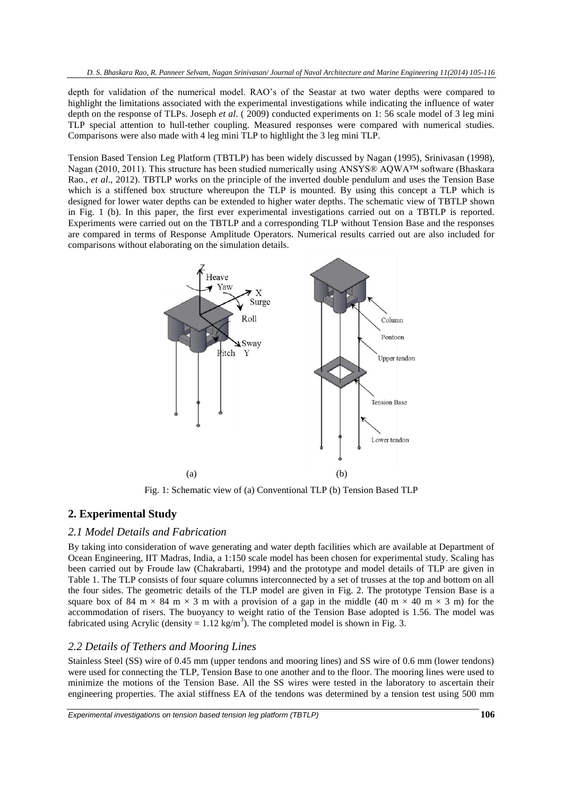depth for validation of the numerical model. RAO's of the Seastar at two water depths were compared to highlight the limitations associated with the experimental investigations while indicating the influence of water depth on the response of TLPs. Joseph *et al*. ( 2009) conducted experiments on 1: 56 scale model of 3 leg mini TLP special attention to hull-tether coupling. Measured responses were compared with numerical studies. Comparisons were also made with 4 leg mini TLP to highlight the 3 leg mini TLP.

Tension Based Tension Leg Platform (TBTLP) has been widely discussed by Nagan (1995), Srinivasan (1998), Nagan (2010, 2011). This structure has been studied numerically using ANSYS® AQWA™ software (Bhaskara Rao*., et al*., 2012). TBTLP works on the principle of the inverted double pendulum and uses the Tension Base which is a stiffened box structure whereupon the TLP is mounted. By using this concept a TLP which is designed for lower water depths can be extended to higher water depths. The schematic view of TBTLP shown in Fig. 1 (b). In this paper, the first ever experimental investigations carried out on a TBTLP is reported. Experiments were carried out on the TBTLP and a corresponding TLP without Tension Base and the responses are compared in terms of Response Amplitude Operators. Numerical results carried out are also included for comparisons without elaborating on the simulation details.



Fig. 1: Schematic view of (a) Conventional TLP (b) Tension Based TLP

## **2. Experimental Study**

#### *2.1 Model Details and Fabrication*

By taking into consideration of wave generating and water depth facilities which are available at Department of Ocean Engineering, IIT Madras, India, a 1:150 scale model has been chosen for experimental study. Scaling has been carried out by Froude law (Chakrabarti, 1994) and the prototype and model details of TLP are given in Table 1. The TLP consists of four square columns interconnected by a set of trusses at the top and bottom on all the four sides. The geometric details of the TLP model are given in Fig. 2. The prototype Tension Base is a square box of 84 m  $\times$  84 m  $\times$  3 m with a provision of a gap in the middle (40 m  $\times$  40 m  $\times$  3 m) for the accommodation of risers. The buoyancy to weight ratio of the Tension Base adopted is 1.56. The model was fabricated using Acrylic (density =  $1.12 \text{ kg/m}^3$ ). The completed model is shown in Fig. 3.

#### *2.2 Details of Tethers and Mooring Lines*

Stainless Steel (SS) wire of 0.45 mm (upper tendons and mooring lines) and SS wire of 0.6 mm (lower tendons) were used for connecting the TLP, Tension Base to one another and to the floor. The mooring lines were used to minimize the motions of the Tension Base. All the SS wires were tested in the laboratory to ascertain their engineering properties. The axial stiffness EA of the tendons was determined by a tension test using 500 mm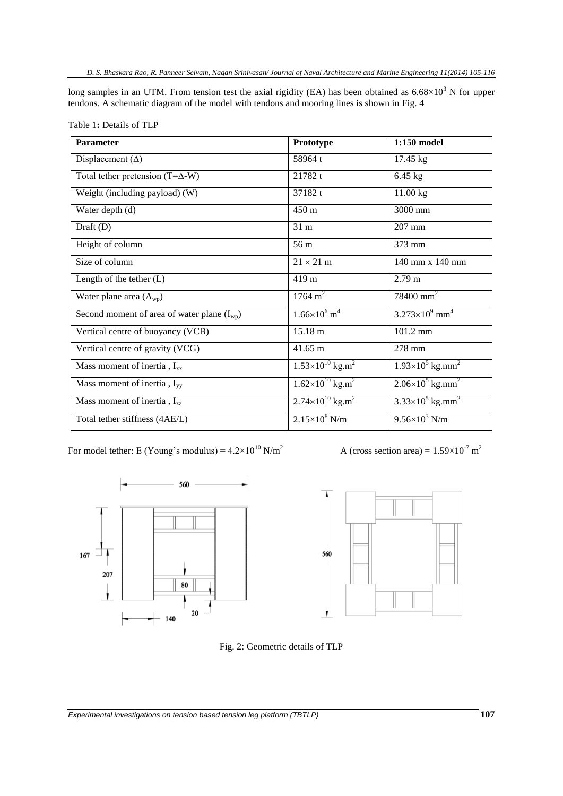*D. S. Bhaskara Rao, R. Panneer Selvam, Nagan Srinivasan/ Journal of Naval Architecture and Marine Engineering 11(2014) 105-116*

long samples in an UTM. From tension test the axial rigidity (EA) has been obtained as  $6.68\times10^3$  N for upper tendons. A schematic diagram of the model with tendons and mooring lines is shown in Fig. 4

| <b>Parameter</b>                                | Prototype                               | 1:150 model                           |  |
|-------------------------------------------------|-----------------------------------------|---------------------------------------|--|
| Displacement $(\Delta)$                         | 58964 t                                 | 17.45 kg                              |  |
| Total tether pretension $(T=\Delta-W)$          | 21782t                                  | $6.45$ kg                             |  |
| Weight (including payload) (W)                  | 37182 t                                 | 11.00 kg                              |  |
| Water depth (d)                                 | 450 m                                   | 3000 mm                               |  |
| Draft $(D)$                                     | 31 <sub>m</sub>                         | $207$ mm                              |  |
| Height of column                                | 56 m                                    | 373 mm                                |  |
| Size of column                                  | $21 \times 21$ m                        | 140 mm x 140 mm                       |  |
| Length of the tether $(L)$                      | 419 <sub>m</sub>                        | $2.79 \text{ m}$                      |  |
| Water plane area $(A_{wp})$                     | $1764 \text{ m}^2$                      | $78400$ mm <sup>2</sup>               |  |
| Second moment of area of water plane $(I_{wp})$ | $1.66 \times 10^6$ m <sup>4</sup>       | $3.273\times10^{9}$ mm <sup>4</sup>   |  |
| Vertical centre of buoyancy (VCB)               | 15.18 m                                 | 101.2 mm                              |  |
| Vertical centre of gravity (VCG)                | 41.65 m                                 | 278 mm                                |  |
| Mass moment of inertia, $I_{xx}$                | $1.53\times10^{10}$ kg.m <sup>2</sup>   | $1.93\times10^{5}$ kg.mm <sup>2</sup> |  |
| Mass moment of inertia, $I_{yy}$                | $1.62\times10^{10}$ kg.m <sup>2</sup>   | $2.06\times10^{5}$ kg.mm <sup>2</sup> |  |
| Mass moment of inertia, $I_{zz}$                | $2.74 \times 10^{10}$ kg.m <sup>2</sup> | $3.33\times10^{5}$ kg.mm <sup>2</sup> |  |
| Total tether stiffness (4AE/L)                  | $2.15\times10^8$ N/m                    | $9.56 \times 10^3$ N/m                |  |

For model tether: E (Young's modulus) =  $4.2 \times 10^{10}$  N/m<sup>2</sup>







Fig. 2: Geometric details of TLP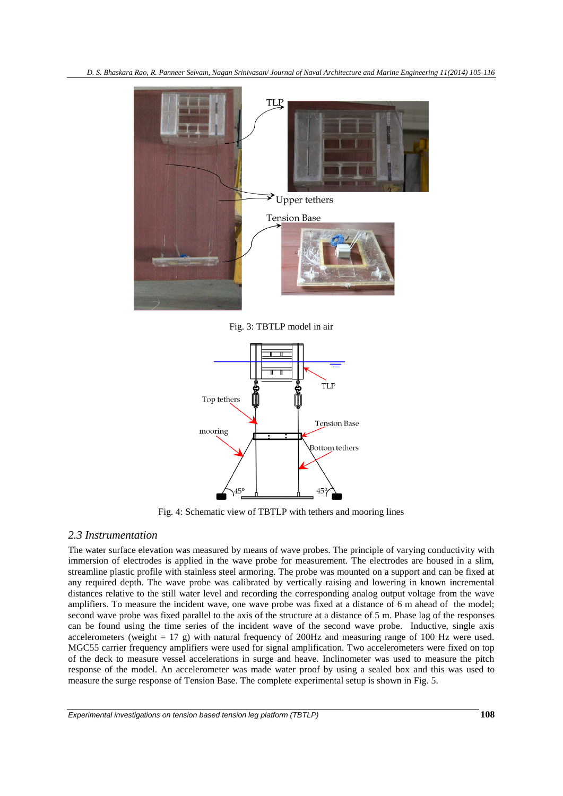*D. S. Bhaskara Rao, R. Panneer Selvam, Nagan Srinivasan/ Journal of Naval Architecture and Marine Engineering 11(2014) 105-116*



Fig. 3: TBTLP model in air



Fig. 4: Schematic view of TBTLP with tethers and mooring lines

## *2.3 Instrumentation*

The water surface elevation was measured by means of wave probes. The principle of varying conductivity with immersion of electrodes is applied in the wave probe for measurement. The electrodes are housed in a slim, streamline plastic profile with stainless steel armoring. The probe was mounted on a support and can be fixed at any required depth. The wave probe was calibrated by vertically raising and lowering in known incremental distances relative to the still water level and recording the corresponding analog output voltage from the wave amplifiers. To measure the incident wave, one wave probe was fixed at a distance of 6 m ahead of the model; second wave probe was fixed parallel to the axis of the structure at a distance of 5 m. Phase lag of the responses can be found using the time series of the incident wave of the second wave probe. Inductive, single axis accelerometers (weight = 17 g) with natural frequency of 200Hz and measuring range of 100 Hz were used. MGC55 carrier frequency amplifiers were used for signal amplification. Two accelerometers were fixed on top of the deck to measure vessel accelerations in surge and heave. Inclinometer was used to measure the pitch response of the model. An accelerometer was made water proof by using a sealed box and this was used to measure the surge response of Tension Base. The complete experimental setup is shown in Fig. 5.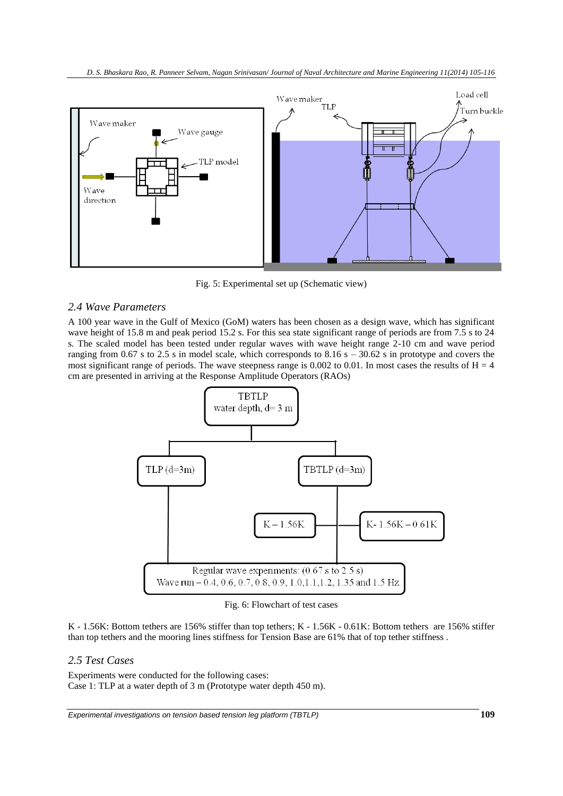

Fig. 5: Experimental set up (Schematic view)

## *2.4 Wave Parameters*

A 100 year wave in the Gulf of Mexico (GoM) waters has been chosen as a design wave, which has significant wave height of 15.8 m and peak period 15.2 s. For this sea state significant range of periods are from 7.5 s to 24 s. The scaled model has been tested under regular waves with wave height range 2-10 cm and wave period ranging from 0.67 s to 2.5 s in model scale, which corresponds to  $8.16 s - 30.62 s$  in prototype and covers the most significant range of periods. The wave steepness range is 0.002 to 0.01. In most cases the results of  $H = 4$ cm are presented in arriving at the Response Amplitude Operators (RAOs)



Fig. 6: Flowchart of test cases

K - 1.56K: Bottom tethers are 156% stiffer than top tethers; K - 1.56K - 0.61K: Bottom tethers are 156% stiffer than top tethers and the mooring lines stiffness for Tension Base are 61% that of top tether stiffness .

# *2.5 Test Cases*

Experiments were conducted for the following cases: Case 1: TLP at a water depth of 3 m (Prototype water depth 450 m).

*Experimental investigations on tension based tension leg platform (TBTLP)* **109**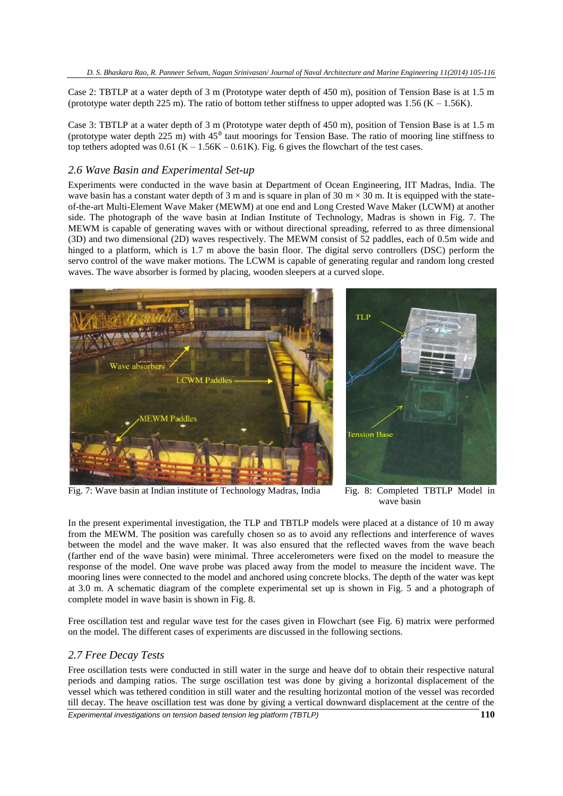Case 2: TBTLP at a water depth of 3 m (Prototype water depth of 450 m), position of Tension Base is at 1.5 m (prototype water depth 225 m). The ratio of bottom tether stiffness to upper adopted was 1.56 (K – 1.56K).

Case 3: TBTLP at a water depth of 3 m (Prototype water depth of 450 m), position of Tension Base is at 1.5 m (prototype water depth 225 m) with  $45^{\circ}$  taut moorings for Tension Base. The ratio of mooring line stiffness to top tethers adopted was  $0.61$  (K – 1.56K – 0.61K). Fig. 6 gives the flowchart of the test cases.

## *2.6 Wave Basin and Experimental Set-up*

Experiments were conducted in the wave basin at Department of Ocean Engineering, IIT Madras, India. The wave basin has a constant water depth of 3 m and is square in plan of 30 m  $\times$  30 m. It is equipped with the stateof-the-art Multi-Element Wave Maker (MEWM) at one end and Long Crested Wave Maker (LCWM) at another side. The photograph of the wave basin at Indian Institute of Technology, Madras is shown in Fig. 7. The MEWM is capable of generating waves with or without directional spreading, referred to as three dimensional (3D) and two dimensional (2D) waves respectively. The MEWM consist of 52 paddles, each of 0.5m wide and hinged to a platform, which is 1.7 m above the basin floor. The digital servo controllers (DSC) perform the servo control of the wave maker motions. The LCWM is capable of generating regular and random long crested waves. The wave absorber is formed by placing, wooden sleepers at a curved slope.



Fig. 7: Wave basin at Indian institute of Technology Madras, India Fig. 8: Completed TBTLP Model in

wave basin

In the present experimental investigation, the TLP and TBTLP models were placed at a distance of 10 m away from the MEWM. The position was carefully chosen so as to avoid any reflections and interference of waves between the model and the wave maker. It was also ensured that the reflected waves from the wave beach (farther end of the wave basin) were minimal. Three accelerometers were fixed on the model to measure the response of the model. One wave probe was placed away from the model to measure the incident wave. The mooring lines were connected to the model and anchored using concrete blocks. The depth of the water was kept at 3.0 m. A schematic diagram of the complete experimental set up is shown in Fig. 5 and a photograph of complete model in wave basin is shown in Fig. 8.

Free oscillation test and regular wave test for the cases given in Flowchart (see Fig. 6) matrix were performed on the model. The different cases of experiments are discussed in the following sections.

#### *2.7 Free Decay Tests*

*Experimental investigations on tension based tension leg platform (TBTLP)* **110** Free oscillation tests were conducted in still water in the surge and heave dof to obtain their respective natural periods and damping ratios. The surge oscillation test was done by giving a horizontal displacement of the vessel which was tethered condition in still water and the resulting horizontal motion of the vessel was recorded till decay. The heave oscillation test was done by giving a vertical downward displacement at the centre of the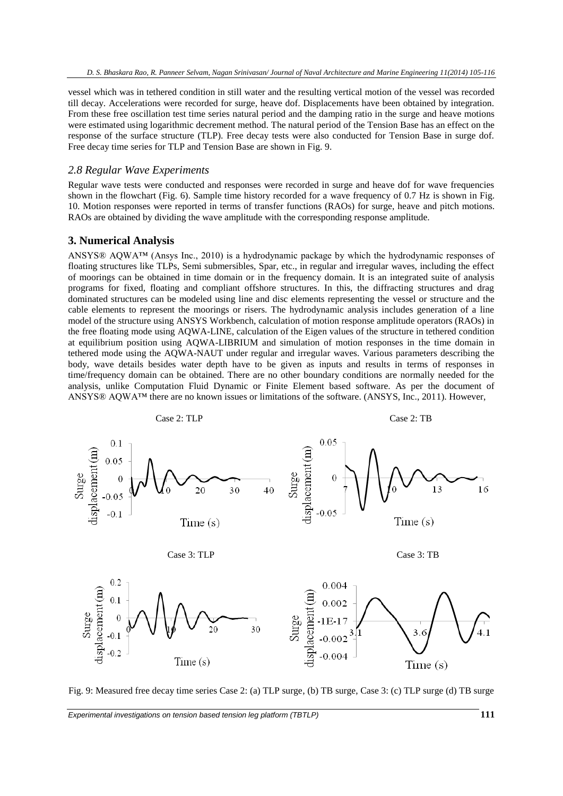vessel which was in tethered condition in still water and the resulting vertical motion of the vessel was recorded till decay. Accelerations were recorded for surge, heave dof. Displacements have been obtained by integration. From these free oscillation test time series natural period and the damping ratio in the surge and heave motions were estimated using logarithmic decrement method. The natural period of the Tension Base has an effect on the response of the surface structure (TLP). Free decay tests were also conducted for Tension Base in surge dof. Free decay time series for TLP and Tension Base are shown in Fig. 9.

## *2.8 Regular Wave Experiments*

Regular wave tests were conducted and responses were recorded in surge and heave dof for wave frequencies shown in the flowchart (Fig. 6). Sample time history recorded for a wave frequency of 0.7 Hz is shown in Fig. 10. Motion responses were reported in terms of transfer functions (RAOs) for surge, heave and pitch motions. RAOs are obtained by dividing the wave amplitude with the corresponding response amplitude.

#### **3. Numerical Analysis**

ANSYS® AQWA™ (Ansys Inc., 2010) is a hydrodynamic package by which the hydrodynamic responses of floating structures like TLPs, Semi submersibles, Spar, etc., in regular and irregular waves, including the effect of moorings can be obtained in time domain or in the frequency domain. It is an integrated suite of analysis programs for fixed, floating and compliant offshore structures. In this, the diffracting structures and drag dominated structures can be modeled using line and disc elements representing the vessel or structure and the cable elements to represent the moorings or risers. The hydrodynamic analysis includes generation of a line model of the structure using ANSYS Workbench, calculation of motion response amplitude operators (RAOs) in the free floating mode using AQWA-LINE, calculation of the Eigen values of the structure in tethered condition at equilibrium position using AQWA-LIBRIUM and simulation of motion responses in the time domain in tethered mode using the AQWA-NAUT under regular and irregular waves. Various parameters describing the body, wave details besides water depth have to be given as inputs and results in terms of responses in time/frequency domain can be obtained. There are no other boundary conditions are normally needed for the analysis, unlike Computation Fluid Dynamic or Finite Element based software. As per the document of ANSYS® AQWA™ there are no known issues or limitations of the software. (ANSYS, Inc., 2011). However,



Fig. 9: Measured free decay time series Case 2: (a) TLP surge, (b) TB surge, Case 3: (c) TLP surge (d) TB surge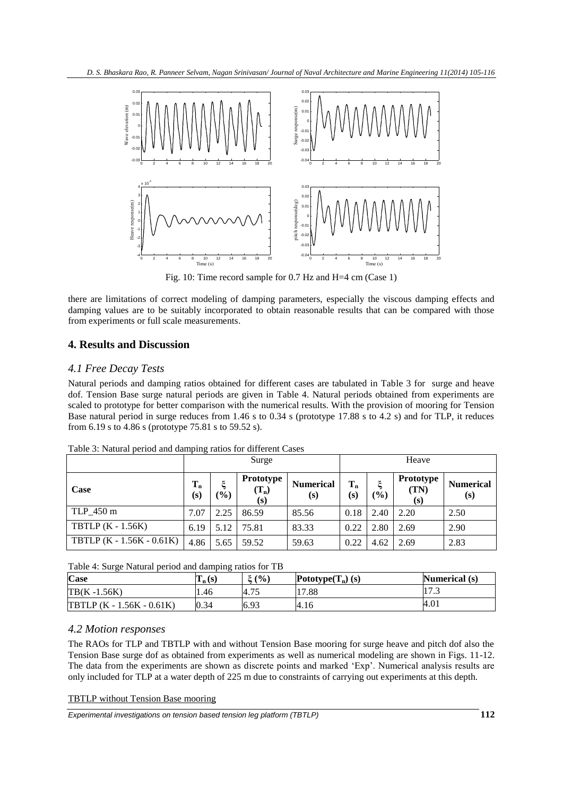

Fig. 10: Time record sample for 0.7 Hz and H=4 cm (Case 1)

there are limitations of correct modeling of damping parameters, especially the viscous damping effects and damping values are to be suitably incorporated to obtain reasonable results that can be compared with those from experiments or full scale measurements.

# **4. Results and Discussion**

## *4.1 Free Decay Tests*

Natural periods and damping ratios obtained for different cases are tabulated in Table 3 for surge and heave dof. Tension Base surge natural periods are given in Table 4. Natural periods obtained from experiments are scaled to prototype for better comparison with the numerical results. With the provision of mooring for Tension Base natural period in surge reduces from 1.46 s to 0.34 s (prototype 17.88 s to 4.2 s) and for TLP, it reduces from 6.19 s to 4.86 s (prototype 75.81 s to 59.52 s).

|                           | Surge          |                  |                             | Heave                   |              |            |                          |                         |
|---------------------------|----------------|------------------|-----------------------------|-------------------------|--------------|------------|--------------------------|-------------------------|
| Case                      | $T_{n}$<br>(s) | $\mathcal{O}(6)$ | Prototype<br>$(T_n)$<br>(s) | <b>Numerical</b><br>(s) | $T_n$<br>(s) | ξ<br>(0/0) | Prototype<br>(TN)<br>(s) | <b>Numerical</b><br>(s) |
| TLP_450 m                 | 7.07           | 2.25             | 86.59                       | 85.56                   | 0.18         | 2.40       | 2.20                     | 2.50                    |
| TBTLP $(K - 1.56K)$       | 6.19           | 5.12             | 75.81                       | 83.33                   | 0.22         | 2.80       | 2.69                     | 2.90                    |
| TBTLP (K - 1.56K - 0.61K) | 4.86           | 5.65             | 59.52                       | 59.63                   | 0.22         | 4.62       | 2.69                     | 2.83                    |

Table 3: Natural period and damping ratios for different Cases

Table 4: Surge Natural period and damping ratios for TB

| <b>Case</b>                        | $T_n(s)$ | $E($ %)    | Pototype $(T_n)$ (s) | Numerical (s) |
|------------------------------------|----------|------------|----------------------|---------------|
| $TB(K - 1.56K)$                    | 1.46     | 75<br>4.73 | 17.88                | 11 I J        |
| <b>TBTLP</b> $(K - 1.56K - 0.61K)$ | 0.34     | 6.93       | 14.16                | 4.01          |

## *4.2 Motion responses*

The RAOs for TLP and TBTLP with and without Tension Base mooring for surge heave and pitch dof also the Tension Base surge dof as obtained from experiments as well as numerical modeling are shown in Figs. 11-12. The data from the experiments are shown as discrete points and marked 'Exp'. Numerical analysis results are only included for TLP at a water depth of 225 m due to constraints of carrying out experiments at this depth.

## TBTLP without Tension Base mooring

*Experimental investigations on tension based tension leg platform (TBTLP)* **112**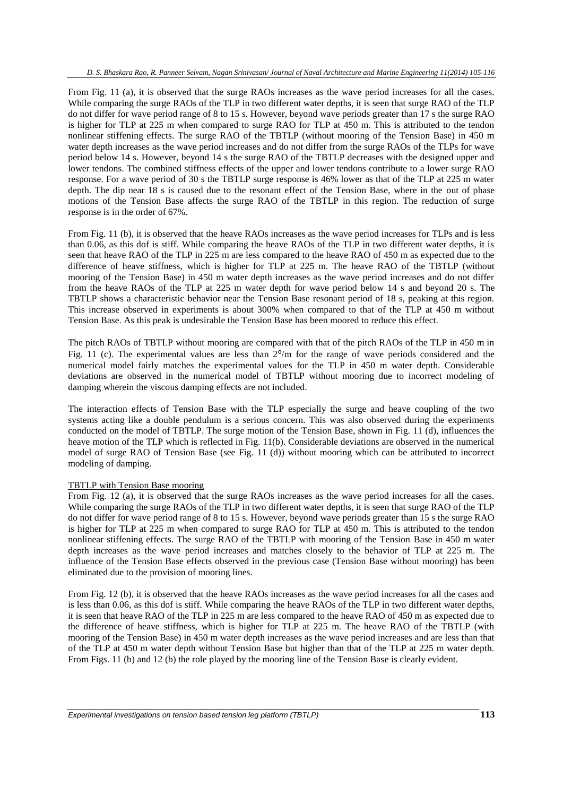From Fig. 11 (a), it is observed that the surge RAOs increases as the wave period increases for all the cases. While comparing the surge RAOs of the TLP in two different water depths, it is seen that surge RAO of the TLP do not differ for wave period range of 8 to 15 s. However, beyond wave periods greater than 17 s the surge RAO is higher for TLP at 225 m when compared to surge RAO for TLP at 450 m. This is attributed to the tendon nonlinear stiffening effects. The surge RAO of the TBTLP (without mooring of the Tension Base) in 450 m water depth increases as the wave period increases and do not differ from the surge RAOs of the TLPs for wave period below 14 s. However, beyond 14 s the surge RAO of the TBTLP decreases with the designed upper and lower tendons. The combined stiffness effects of the upper and lower tendons contribute to a lower surge RAO response. For a wave period of 30 s the TBTLP surge response is 46% lower as that of the TLP at 225 m water depth. The dip near 18 s is caused due to the resonant effect of the Tension Base, where in the out of phase motions of the Tension Base affects the surge RAO of the TBTLP in this region. The reduction of surge response is in the order of 67%.

From Fig. 11 (b), it is observed that the heave RAOs increases as the wave period increases for TLPs and is less than 0.06, as this dof is stiff. While comparing the heave RAOs of the TLP in two different water depths, it is seen that heave RAO of the TLP in 225 m are less compared to the heave RAO of 450 m as expected due to the difference of heave stiffness, which is higher for TLP at 225 m. The heave RAO of the TBTLP (without mooring of the Tension Base) in 450 m water depth increases as the wave period increases and do not differ from the heave RAOs of the TLP at 225 m water depth for wave period below 14 s and beyond 20 s. The TBTLP shows a characteristic behavior near the Tension Base resonant period of 18 s, peaking at this region. This increase observed in experiments is about 300% when compared to that of the TLP at 450 m without Tension Base. As this peak is undesirable the Tension Base has been moored to reduce this effect.

The pitch RAOs of TBTLP without mooring are compared with that of the pitch RAOs of the TLP in 450 m in Fig. 11 (c). The experimental values are less than  $2^{\circ}/m$  for the range of wave periods considered and the numerical model fairly matches the experimental values for the TLP in 450 m water depth. Considerable deviations are observed in the numerical model of TBTLP without mooring due to incorrect modeling of damping wherein the viscous damping effects are not included.

The interaction effects of Tension Base with the TLP especially the surge and heave coupling of the two systems acting like a double pendulum is a serious concern. This was also observed during the experiments conducted on the model of TBTLP. The surge motion of the Tension Base, shown in Fig. 11 (d), influences the heave motion of the TLP which is reflected in Fig. 11(b). Considerable deviations are observed in the numerical model of surge RAO of Tension Base (see Fig. 11 (d)) without mooring which can be attributed to incorrect modeling of damping.

#### TBTLP with Tension Base mooring

From Fig. 12 (a), it is observed that the surge RAOs increases as the wave period increases for all the cases. While comparing the surge RAOs of the TLP in two different water depths, it is seen that surge RAO of the TLP do not differ for wave period range of 8 to 15 s. However, beyond wave periods greater than 15 s the surge RAO is higher for TLP at 225 m when compared to surge RAO for TLP at 450 m. This is attributed to the tendon nonlinear stiffening effects. The surge RAO of the TBTLP with mooring of the Tension Base in 450 m water depth increases as the wave period increases and matches closely to the behavior of TLP at 225 m. The influence of the Tension Base effects observed in the previous case (Tension Base without mooring) has been eliminated due to the provision of mooring lines.

From Fig. 12 (b), it is observed that the heave RAOs increases as the wave period increases for all the cases and is less than 0.06, as this dof is stiff. While comparing the heave RAOs of the TLP in two different water depths, it is seen that heave RAO of the TLP in 225 m are less compared to the heave RAO of 450 m as expected due to the difference of heave stiffness, which is higher for TLP at 225 m. The heave RAO of the TBTLP (with mooring of the Tension Base) in 450 m water depth increases as the wave period increases and are less than that of the TLP at 450 m water depth without Tension Base but higher than that of the TLP at 225 m water depth. From Figs. 11 (b) and 12 (b) the role played by the mooring line of the Tension Base is clearly evident.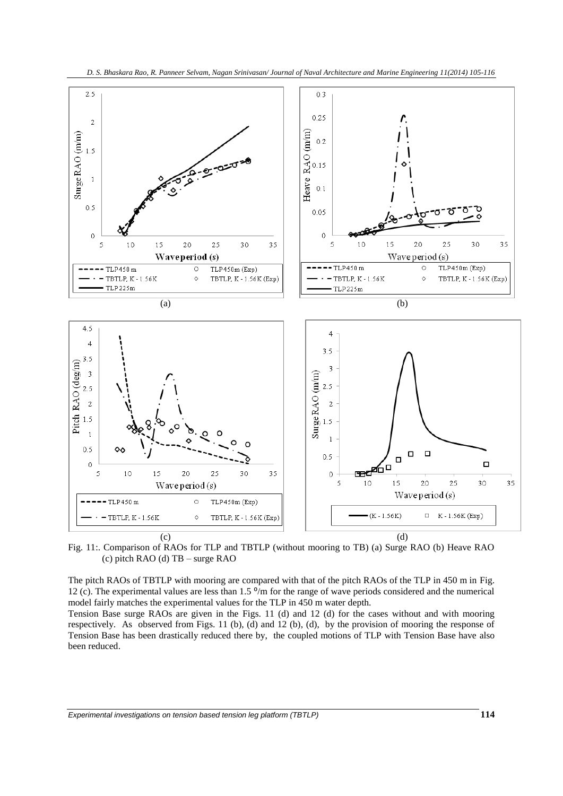



Fig. 11:. Comparison of RAOs for TLP and TBTLP (without mooring to TB) (a) Surge RAO (b) Heave RAO (c) pitch RAO (d) TB – surge RAO

The pitch RAOs of TBTLP with mooring are compared with that of the pitch RAOs of the TLP in 450 m in Fig. 12 (c). The experimental values are less than  $1.5^{\circ}$ /m for the range of wave periods considered and the numerical model fairly matches the experimental values for the TLP in 450 m water depth.

Tension Base surge RAOs are given in the Figs. 11 (d) and 12 (d) for the cases without and with mooring respectively. As observed from Figs. 11 (b), (d) and 12 (b), (d), by the provision of mooring the response of Tension Base has been drastically reduced there by, the coupled motions of TLP with Tension Base have also been reduced.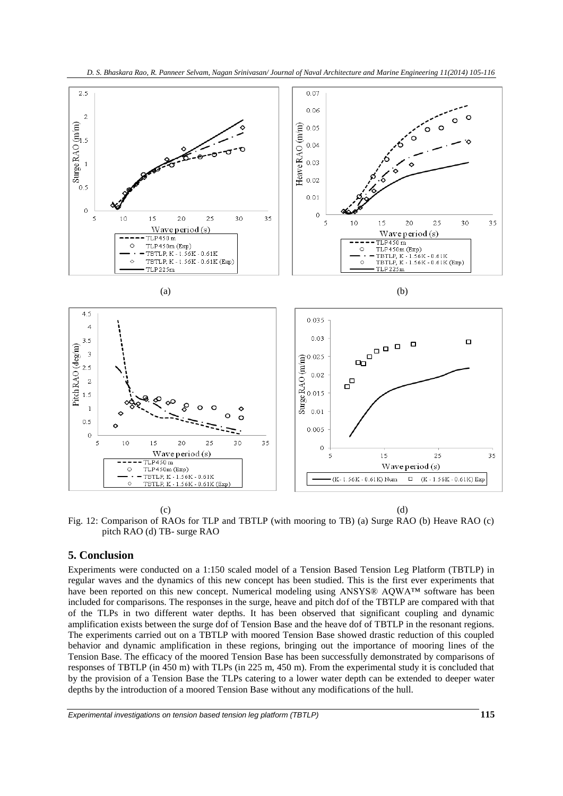



(c) (d)

Fig. 12: Comparison of RAOs for TLP and TBTLP (with mooring to TB) (a) Surge RAO (b) Heave RAO (c) pitch RAO (d) TB- surge RAO

# **5. Conclusion**

Experiments were conducted on a 1:150 scaled model of a Tension Based Tension Leg Platform (TBTLP) in regular waves and the dynamics of this new concept has been studied. This is the first ever experiments that have been reported on this new concept. Numerical modeling using ANSYS® AQWA™ software has been included for comparisons. The responses in the surge, heave and pitch dof of the TBTLP are compared with that of the TLPs in two different water depths. It has been observed that significant coupling and dynamic amplification exists between the surge dof of Tension Base and the heave dof of TBTLP in the resonant regions. The experiments carried out on a TBTLP with moored Tension Base showed drastic reduction of this coupled behavior and dynamic amplification in these regions, bringing out the importance of mooring lines of the Tension Base. The efficacy of the moored Tension Base has been successfully demonstrated by comparisons of responses of TBTLP (in 450 m) with TLPs (in 225 m, 450 m). From the experimental study it is concluded that by the provision of a Tension Base the TLPs catering to a lower water depth can be extended to deeper water depths by the introduction of a moored Tension Base without any modifications of the hull.